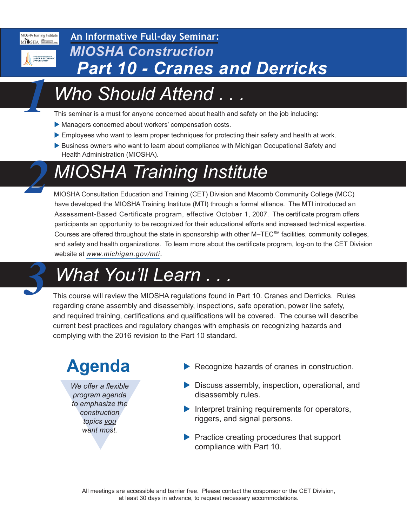MIOSHA Training Institute MISHA Macomb<sub>College</sub>



*1*

*2*

## **An Informative Full-day Seminar:** *Part 10 - Cranes and Derricks MIOSHA Construction*

# *Who Should Attend . . .*

This seminar is a must for anyone concerned about health and safety on the job including:

- Managers concerned about workers' compensation costs.
- Employees who want to learn proper techniques for protecting their safety and health at work.
- Business owners who want to learn about compliance with Michigan Occupational Safety and Health Administration (MIOSHA).

# *MIOSHA Training Institute*

MIOSHA Consultation Education and Training (CET) Division and Macomb Community College (MCC) have developed the MIOSHA Training Institute (MTI) through a formal alliance. The MTI introduced an Assessment-Based Certificate program, effective October 1, 2007. The certificate program offers participants an opportunity to be recognized for their educational efforts and increased technical expertise. Courses are offered throughout the state in sponsorship with other M–TEC<sup>SM</sup> facilities, community colleges, and safety and health organizations. To learn more about the certificate program, log-on to the CET Division website at *[www.michigan.gov/mti](http://www.michigan.gov/mti)*.

# *What You'll Learn . . . 3*

This course will review the MIOSHA regulations found in Part 10. Cranes and Derricks. Rules regarding crane assembly and disassembly, inspections, safe operation, power line safety, and required training, certifications and qualifications will be covered. The course will describe current best practices and regulatory changes with emphasis on recognizing hazards and complying with the 2016 revision to the Part 10 standard.

We offer a flexible<br>program agenda<br>to emphasize the<br>construction<br>topics you<br>want most. *We offer a flexible program agenda to emphasize the construction topics you want most.*

- Agenda Recognize hazards of cranes in construction.
	- $\triangleright$  Discuss assembly, inspection, operational, and disassembly rules.
	- $\blacktriangleright$  Interpret training requirements for operators, riggers, and signal persons.
	- $\blacktriangleright$  Practice creating procedures that support compliance with Part 10.